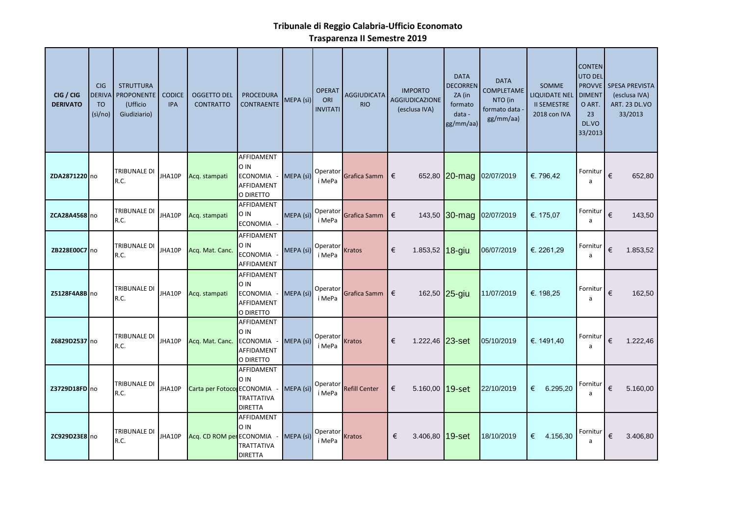## **Tribunale di Reggio Calabria-Ufficio Economato**

**Trasparenza II Semestre 2019**

| CIG / CIG<br><b>DERIVATO</b> | <b>CIG</b><br><b>DERIVA</b><br><b>TO</b><br>(si/no) | <b>STRUTTURA</b><br><b>PROPONENTE</b><br>(Ufficio<br>Giudiziario) | <b>CODICE</b><br><b>IPA</b> | <b>OGGETTO DEL</b><br><b>CONTRATTO</b> | <b>PROCEDURA</b><br><b>CONTRAENTE</b>                       | MEPA(Si)  | <b>OPERAT</b><br>ORI<br><b>INVITATI</b> | AGGIUDICATA<br><b>RIO</b> | <b>IMPORTO</b><br><b>AGGIUDICAZIONE</b><br>(esclusa IVA) | <b>DATA</b><br><b>DECORREN</b><br>ZA (in<br>formato<br>data -<br>gg/mm/aa) | <b>DATA</b><br>COMPLETAME<br>NTO (in<br>formato data<br>gg/mm/aa) | <b>SOMME</b><br><b>LIQUIDATE NEL</b><br><b>II SEMESTRE</b><br>2018 con IVA | <b>CONTEN</b><br><b>UTO DEL</b><br><b>PROVVE</b><br><b>DIMENT</b><br>O ART.<br>23<br>DL.VO<br>33/2013 | <b>SPESA PREVISTA</b><br>(esclusa IVA)<br><b>ART. 23 DL.VO</b><br>33/2013 |          |
|------------------------------|-----------------------------------------------------|-------------------------------------------------------------------|-----------------------------|----------------------------------------|-------------------------------------------------------------|-----------|-----------------------------------------|---------------------------|----------------------------------------------------------|----------------------------------------------------------------------------|-------------------------------------------------------------------|----------------------------------------------------------------------------|-------------------------------------------------------------------------------------------------------|---------------------------------------------------------------------------|----------|
| ZDA2871220 no                |                                                     | TRIBUNALE DI<br>R.C.                                              | JHA10P                      | Acq. stampati                          | AFFIDAMENT<br>O IN<br>ECONOMIA -<br>AFFIDAMENT<br>O DIRETTO | MEPA (sì) | Operator<br>i MePa                      | Grafica Samm              | €                                                        |                                                                            | 652,80 20-mag 02/07/2019                                          | €. 796,42                                                                  | Fornitur<br>$\mathsf{a}$                                                                              | €                                                                         | 652,80   |
| ZCA28A4568 no                |                                                     | TRIBUNALE DI<br>R.C.                                              | JHA10P                      | Acq. stampati                          | AFFIDAMENT<br>O IN<br>ECONOMIA -                            | MEPA (sì) | Operator<br>i MePa                      | Grafica Samm              | €                                                        |                                                                            | 143,50 30-mag 02/07/2019                                          | €. 175,07                                                                  | Fornitur<br>a                                                                                         | €                                                                         | 143,50   |
| ZB228E00C7 no                |                                                     | TRIBUNALE DI<br>R.C.                                              | JHA10P                      | Acq. Mat. Canc.                        | AFFIDAMENT<br>O IN<br><b>ECONOMIA</b><br>AFFIDAMENT         | MEPA (sì) | Operator<br>i MePa                      | <b>Kratos</b>             | €<br>1.853,52 18-giu                                     |                                                                            | 06/07/2019                                                        | €. 2261,29                                                                 | Fornitur<br>a                                                                                         | €                                                                         | 1.853,52 |
| <b>Z5128F4A8B</b> no         |                                                     | TRIBUNALE DI<br>R.C.                                              | JHA10P                      | Acq. stampati                          | AFFIDAMENT<br>O IN<br>ECONOMIA -<br>AFFIDAMENT<br>O DIRETTO | MEPA (sì) | Operator<br>i MePa                      | Grafica Samm $\epsilon$   |                                                          | 162,50 25-giu                                                              | 11/07/2019                                                        | €. 198,25                                                                  | Fornitur<br>a                                                                                         | €                                                                         | 162,50   |
| Z6829D2537 no                |                                                     | TRIBUNALE DI<br>R.C.                                              |                             | JHA10P Acq. Mat. Canc.                 | AFFIDAMENT<br>O IN<br>ECONOMIA -<br>AFFIDAMENT<br>O DIRETTO | MEPA (sì) | Operator<br>i MePa                      | <b>Kratos</b>             | €<br>1.222,46 23-set                                     |                                                                            | 05/10/2019                                                        | €. 1491,40                                                                 | Fornitur<br>a                                                                                         | €                                                                         | 1.222,46 |
| Z3729D18FD no                |                                                     | TRIBUNALE DI<br>R.C.                                              | JHA10P                      | Carta per Fotoco ECONOMIA              | AFFIDAMENT<br>O IN<br><b>TRATTATIVA</b><br><b>DIRETTA</b>   | MEPA (sì) | i MePa                                  | Operator Refill Center    | 5.160,00 $19-set$<br>€                                   |                                                                            | 22/10/2019                                                        | 6.295,20<br>€                                                              | Fornitur<br>a                                                                                         | €                                                                         | 5.160,00 |
| ZC929D23E8 no                |                                                     | TRIBUNALE DI<br>R.C.                                              | JHA10P                      | Acq. CD ROM per ECONOMIA               | AFFIDAMENT<br>O IN<br>TRATTATIVA<br><b>DIRETTA</b>          | MEPA (sì) | Operator<br>i MePa                      | <b>Kratos</b>             | €<br>3.406,80 19-set                                     |                                                                            | 18/10/2019                                                        | € 4.156,30                                                                 | Fornitur<br>a                                                                                         | €                                                                         | 3.406,80 |